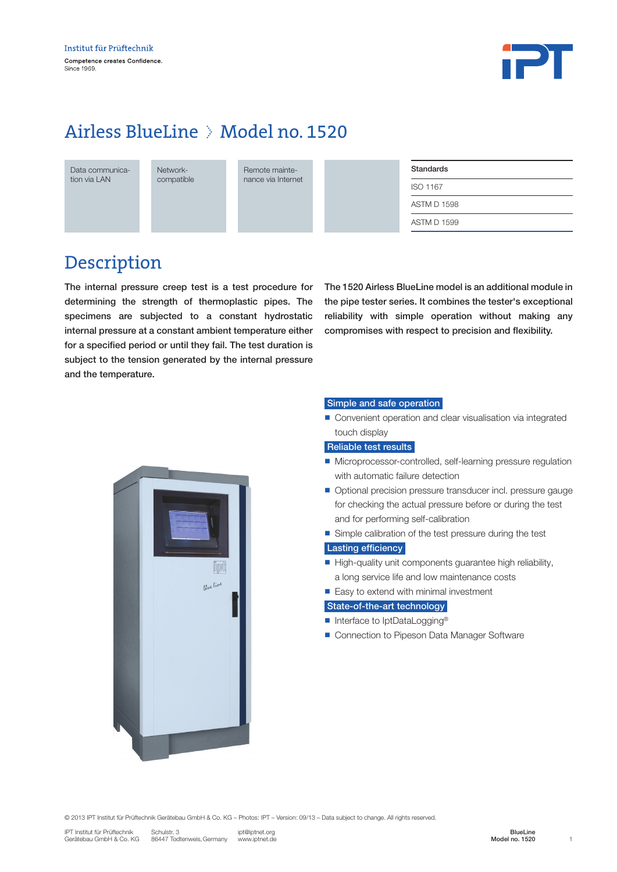

## Airless BlueLine > Model no. 1520

| Data communica- |  |  |  |  |
|-----------------|--|--|--|--|
| tion via LAN    |  |  |  |  |

Networkcompatible Remote maintenance via Internet

| Standards          |  |
|--------------------|--|
| ISO 1167           |  |
| <b>ASTM D 1598</b> |  |
| <b>ASTM D 1599</b> |  |

### Description

The internal pressure creep test is a test procedure for determining the strength of thermoplastic pipes. The specimens are subjected to a constant hydrostatic internal pressure at a constant ambient temperature either for a specified period or until they fail. The test duration is subject to the tension generated by the internal pressure and the temperature.

The 1520 Airless BlueLine model is an additional module in the pipe tester series. It combines the tester's exceptional reliability with simple operation without making any compromises with respect to precision and flexibility.



#### Simple and safe operation

■ Convenient operation and clear visualisation via integrated touch display

#### Reliable test results

- Microprocessor-controlled, self-learning pressure regulation with automatic failure detection
- Optional precision pressure transducer incl. pressure gauge for checking the actual pressure before or during the test and for performing self-calibration
- Simple calibration of the test pressure during the test

#### Lasting efficiency

- $\blacksquare$  High-quality unit components guarantee high reliability, a long service life and low maintenance costs
- $\blacksquare$  Easy to extend with minimal investment

#### State-of-the-art technology

- Interface to IptDataLogging<sup>®</sup>
- Connection to Pipeson Data Manager Software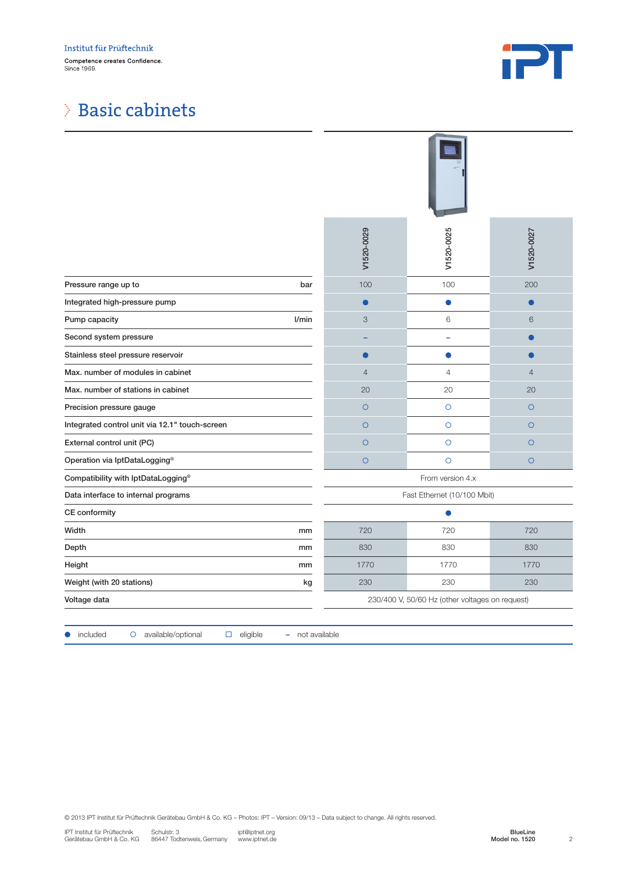

### Basic cabinets

|                                                                                                                                                                                                                                                                                     | V1520-0029                                      | V1520-0025     | V1520-0027                                   |  |  |
|-------------------------------------------------------------------------------------------------------------------------------------------------------------------------------------------------------------------------------------------------------------------------------------|-------------------------------------------------|----------------|----------------------------------------------|--|--|
| Pressure range up to<br>bar                                                                                                                                                                                                                                                         | 100                                             | 100            | 200                                          |  |  |
| Integrated high-pressure pump                                                                                                                                                                                                                                                       |                                                 | $\bullet$      | $\bullet$                                    |  |  |
| l/min<br>Pump capacity                                                                                                                                                                                                                                                              | $\ensuremath{\mathsf{3}}$                       | 6              | 6                                            |  |  |
| Second system pressure                                                                                                                                                                                                                                                              |                                                 | ÷              | $\bullet$                                    |  |  |
| Stainless steel pressure reservoir                                                                                                                                                                                                                                                  | 0                                               | $\bullet$      | С                                            |  |  |
| Max. number of modules in cabinet                                                                                                                                                                                                                                                   | $\overline{4}$                                  | $\overline{4}$ | $\overline{4}$                               |  |  |
| Max. number of stations in cabinet                                                                                                                                                                                                                                                  | 20                                              | 20             | 20                                           |  |  |
| Precision pressure gauge                                                                                                                                                                                                                                                            | $\circ$                                         | $\circ$        | $\bigcirc$                                   |  |  |
| Integrated control unit via 12.1" touch-screen                                                                                                                                                                                                                                      | $\circ$                                         | $\circ$        | $\circ$                                      |  |  |
| External control unit (PC)                                                                                                                                                                                                                                                          | $\circ$                                         | $\circ$        | $\circ$                                      |  |  |
| Operation via IptDataLogging®                                                                                                                                                                                                                                                       | $\circ$                                         | $\circ$        | $\circ$                                      |  |  |
| Compatibility with IptDataLogging®                                                                                                                                                                                                                                                  | From version 4.x                                |                |                                              |  |  |
| Data interface to internal programs                                                                                                                                                                                                                                                 | Fast Ethernet (10/100 Mbit)                     |                |                                              |  |  |
| CE conformity                                                                                                                                                                                                                                                                       | ●                                               |                |                                              |  |  |
| Width<br>mm                                                                                                                                                                                                                                                                         | 720                                             | 720            | 720                                          |  |  |
| Depth<br>mm                                                                                                                                                                                                                                                                         | 830                                             | 830            | 830                                          |  |  |
| Height<br>mm                                                                                                                                                                                                                                                                        | 1770                                            | 1770           | 1770                                         |  |  |
| Weight (with 20 stations)<br>kg                                                                                                                                                                                                                                                     | 230                                             | 230            | 230                                          |  |  |
| Voltage data                                                                                                                                                                                                                                                                        | 230/400 V, 50/60 Hz (other voltages on request) |                |                                              |  |  |
| available/optional<br>eligible<br>- not available<br>included<br>$\circ$<br>$\Box$                                                                                                                                                                                                  |                                                 |                |                                              |  |  |
| @ 2013 IPT Institut für Prüftechnik Gerätebau GmbH & Co. KG - Photos: IPT - Version: 09/13 - Data subject to change. All rights reserved.<br>IPT Institut für Prüftechnik<br>Schulstr. 3<br>ipt@iptnet.org<br>86447 Todtenweis, Germany<br>Gerätebau GmbH & Co. KG<br>www.iptnet.de |                                                 |                | BlueLine<br>Model no. 1520<br>$\overline{c}$ |  |  |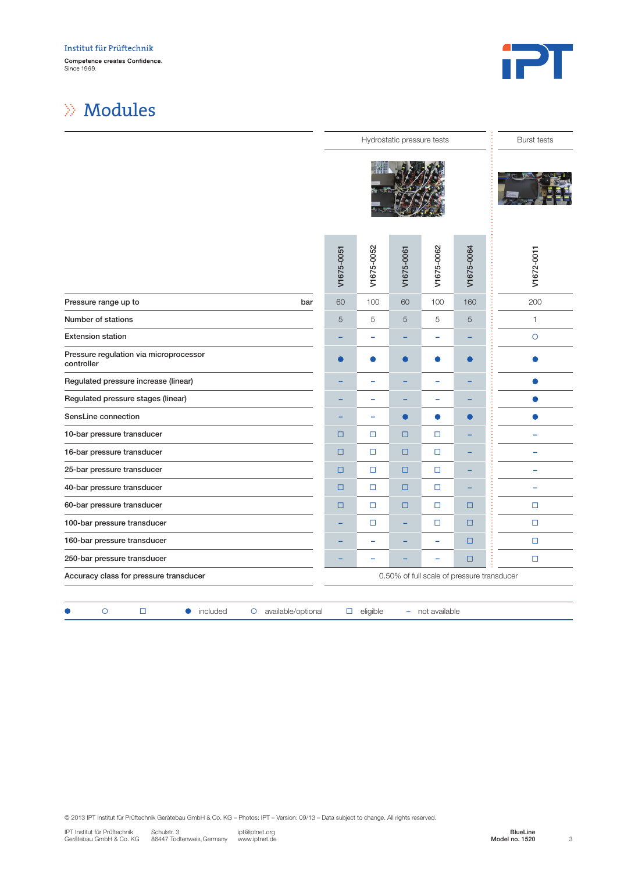

### Modules

|                                                                                      |            | <b>Burst tests</b> |            |                          |            |              |
|--------------------------------------------------------------------------------------|------------|--------------------|------------|--------------------------|------------|--------------|
|                                                                                      |            |                    |            |                          |            |              |
|                                                                                      | V1675-0051 | V1675-0052         | V1675-0061 | V1675-0062               | V1675-0064 | V1672-0011   |
| Pressure range up to<br>bar                                                          | 60         | 100                | 60         | 100                      | 160        | 200          |
| Number of stations                                                                   | 5          | 5                  | $\sqrt{5}$ | 5                        | $\sqrt{5}$ | $\mathbf{1}$ |
| <b>Extension station</b>                                                             |            | ÷                  |            | ÷                        |            | $\circ$      |
| Pressure regulation via microprocessor<br>controller                                 | $\bullet$  |                    | $\bullet$  | $\bullet$                | ●          | œ            |
| Regulated pressure increase (linear)                                                 |            | -                  |            | ÷                        |            | $\bullet$    |
| Regulated pressure stages (linear)                                                   |            | -                  |            | ÷                        |            |              |
| SensLine connection                                                                  |            | L.                 | ●          | $\bullet$                | ●          | ●            |
| 10-bar pressure transducer                                                           | $\Box$     | $\Box$             | □          | $\Box$                   |            | ۳            |
| 16-bar pressure transducer                                                           | $\Box$     | $\Box$             | □          | $\Box$                   |            |              |
| 25-bar pressure transducer                                                           | $\Box$     | $\Box$             | $\Box$     | $\Box$                   |            | -            |
| 40-bar pressure transducer                                                           | $\Box$     | $\Box$             | □          | $\Box$                   |            | ÷            |
| 60-bar pressure transducer                                                           | $\Box$     | $\Box$             | $\Box$     | $\Box$                   | $\Box$     | $\Box$       |
| 100-bar pressure transducer                                                          |            | $\Box$             | ۰          | $\Box$                   | □          | $\Box$       |
| 160-bar pressure transducer                                                          |            | ÷                  |            | $\equiv$                 | $\Box$     | $\Box$       |
| 250-bar pressure transducer                                                          |            | -                  |            | $\overline{\phantom{0}}$ | $\Box$     | $\Box$       |
| Accuracy class for pressure transducer<br>0.50% of full scale of pressure transducer |            |                    |            |                          |            |              |
|                                                                                      |            |                    |            |                          |            |              |
| O<br>$\Box$<br>included<br>available/optional<br>$\circ$<br>$\bullet$                |            | $\Box$ eligible    |            | - not available          |            |              |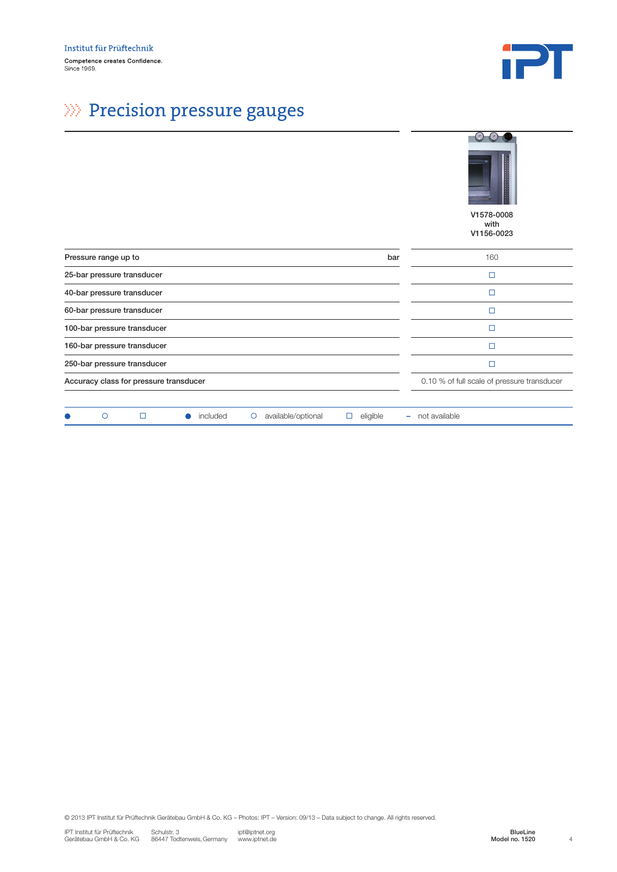

 $\overline{\phantom{0}}$  $\overline{\phantom{0}}$ 

# $\gg$  Precision pressure gauges

|                                                                                      | $\circ$<br>V1578-0008<br>with<br>V1156-0023 |
|--------------------------------------------------------------------------------------|---------------------------------------------|
| Pressure range up to<br>bar                                                          | 160                                         |
| 25-bar pressure transducer                                                           | $\Box$                                      |
| 40-bar pressure transducer                                                           | $\Box$                                      |
| 60-bar pressure transducer                                                           | П                                           |
| 100-bar pressure transducer                                                          | $\Box$                                      |
| 160-bar pressure transducer                                                          | $\Box$                                      |
| 250-bar pressure transducer                                                          | $\Box$                                      |
| Accuracy class for pressure transducer                                               | 0.10 % of full scale of pressure transducer |
| $\circ$<br>$\Box$<br>included<br>available/optional<br>eligible<br>$\circ$<br>□<br>۰ | not available                               |